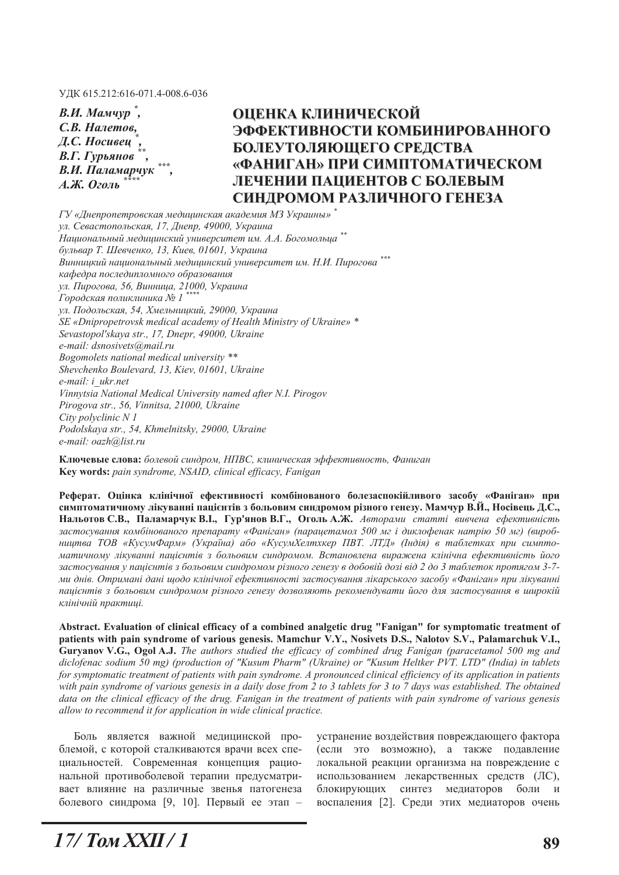УДК 615.212:616-071.4-008.6-036

| В.И. Мамчур,               |  |
|----------------------------|--|
| С.В. Налетов,              |  |
| Д.С. Носивец $\tilde{ }$ , |  |
| В.Г. Гурьянов              |  |
| В.И. Паламарчук            |  |
| А.Ж. Оголь                 |  |

# **ОЦЕНКА КЛИНИЧЕСКОЙ ЭФФЕКТИВНОСТИ КОМБИНИРОВАННОГО БОЛЕУТОЛЯЮЩЕГО СРЕДСТВА ©ɎȺɇɂȽȺɇª ɉɊɂ ɋɂɆɉɌɈɆȺɌɂɑȿɋɄɈɆ ЛЕЧЕНИИ ПАЦИЕНТОВ С БОЛЕВЫМ** СИНДРОМОМ РАЗЛИЧНОГО ГЕНЕЗА

*Ƚɍ «Ⱦɧɟɩɪɨɩɟɬɪɨɜɫɤɚɹ ɦɟɞɢɰɢɧɫɤɚɹ ɚɤɚɞɟɦɢɹ ɆɁ ɍɤɪɚɢɧɵ» \* ул. Севастопольская, 17, Днепр, 49000, Украина ɇɚɰɢɨɧɚɥɶɧɵɣ ɦɟɞɢɰɢɧɫɤɢɣ ɭɧɢɜɟɪɫɢɬɟɬ ɢɦ. Ⱥ.Ⱥ. Ȼɨɝɨɦɨɥɶɰɚ \*\**  $6$ ульвар Т. Шевченко, 13, Киев, 01601, Украина  $B$ инницкий национальный медицинский университет им. Н.И. Пирогова<sup>\*\*\*</sup>  $k$ афедра последипломного образования *ул. Пирогова, 56, Винница, 21000, Украина*  $\Gamma$ ородская поликлиника № 1<sup>\*\*</sup> ул. Подольская, 54, Хмельницкий, 29000, Украина *SE «Dnipropetrovsk medical academy of Health Ministry of Ukraine» \* Sevastopol'skaya str., 17, Dnepr, 49000, Ukraine e-mail: dsnosivets@mail.ru Bogomolets national medical university \*\* Shevchenko Boulevard, 13, Kiev, 01601, Ukraine e-mail: i\_ukr.net Vinnytsia National Medical University named after N.I. Pirogov Pirogova str., 56, Vinnitsa, 21000, Ukraine City polyclinic N 1 Podolskaya str., 54, Khmelnitsky, 29000, Ukraine e-mail: oazh@list.ru* 

Ключевые слова: болевой синдром, НПВС, клиническая эффективность, Фаниган **.H\ZRUGV** *pain syndrome, NSAID, clinical efficacy, Fanigan* 

Реферат. Опінка клінічної ефективності комбінованого болезаспокійливого засобу «Фаніган» при симптоматичному лікуванні пацієнтів з больовим синдромом різного генезу. Мамчур В.Й., Носівець Д.С., **Нальотов С.В., Паламарчук В.І., Гур'янов В.Г., Оголь А.Ж.** Авторами статті вивчена ефективність  $3a$ стосування комбінованого препарату «Фаніган» (парацетамол 500 мг і диклофенак натрію 50 мг) (виробництва ТОВ «КусумФарм» (Україна) або «КусумХелтхкер ПВТ. ЛТД» (Індія) в таблетках при симптоматичному лікуванні пацієнтів з больовим синдромом. Встановлена виражена клінічна ефективність його застосування у пацієнтів з больовим синдромом різного генезу в добовій дозі від 2 до 3 таблеток протягом 3-7ми днів. Отримані дані щодо клінічної ефективності застосування лікарського засобу «Фаніган» при лікуванні пацієнтів з больовим синдромом різного генезу дозволяють рекомендувати його для застосування в широкій клінічній практиці.

Abstract. Evaluation of clinical efficacy of a combined analgetic drug "Fanigan" for symptomatic treatment of patients with pain syndrome of various genesis. Mamchur V.Y., Nosivets D.S., Nalotov S.V., Palamarchuk V.I., Guryanov V.G., Ogol A.J. The authors studied the efficacy of combined drug Fanigan (paracetamol 500 mg and *diclofenac sodium 50 mg) (production of "Kusum Pharm" (Ukraine) or "Kusum Heltker PVT. LTD" (India) in tablets for symptomatic treatment of patients with pain syndrome. A pronounced clinical efficiency of its application in patients with pain syndrome of various genesis in a daily dose from 2 to 3 tablets for 3 to 7 days was established. The obtained*  data on the clinical efficacy of the drug. Fanigan in the treatment of patients with pain syndrome of various genesis *allow to recommend it for application in wide clinical practice.* 

Боль является важной медицинской проблемой, с которой сталкиваются врачи всех специальностей. Современная концепция рациональной противоболевой терапии предусматривает влияние на различные звенья патогенеза болевого синдрома [9, 10]. Первый ее этап -

устранение воздействия повреждающего фактора (если это возможно), а также подавление локальной реакции организма на повреждение с использованием лекарственных средств (ЛС), блокирующих синтез медиаторов боли и воспаления [2]. Среди этих медиаторов очень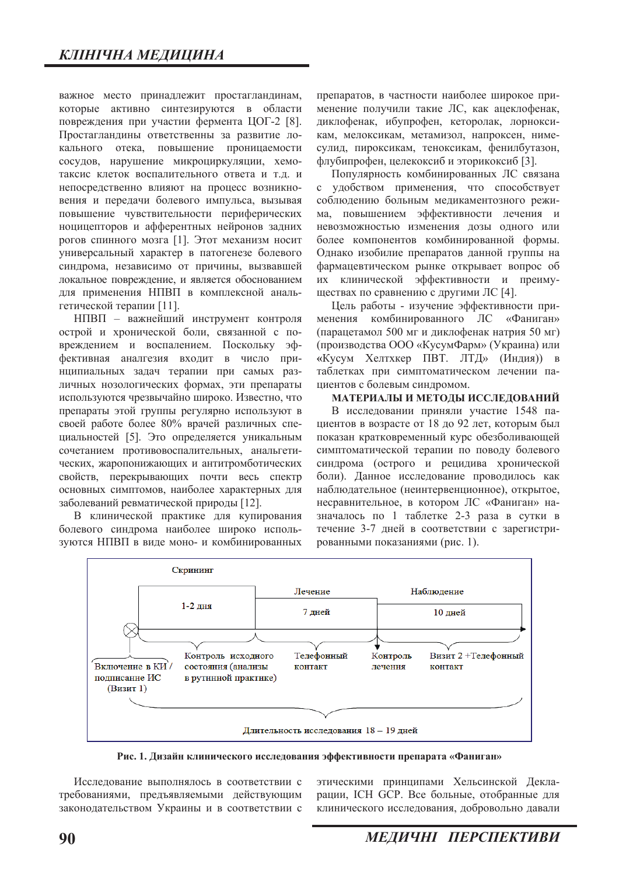важное место принадлежит простагландинам, которые активно синтезируются в области повреждения при участии фермента ЦОГ-2 [8]. Простагландины ответственны за развитие локального отека, повышение проницаемости сосудов, нарушение микроциркуляции, хемотаксис клеток воспалительного ответа и т.д. и непосредственно влияют на процесс возникновения и передачи болевого импульса, вызывая повышение чувствительности периферических ноцицепторов и афферентных нейронов задних рогов спинного мозга [1]. Этот механизм носит универсальный характер в патогенезе болевого синдрома, независимо от причины, вызвавшей локальное повреждение, и является обоснованием для применения НПВП в комплексной анальгетической терапии [11].

НПВП - важнейший инструмент контроля острой и хронической боли, связанной с повреждением и воспалением. Поскольку эффективная аналгезия входит в число принципиальных задач терапии при самых различных нозологических формах, эти препараты используются чрезвычайно широко. Известно, что препараты этой группы регулярно используют в своей работе более 80% врачей различных специальностей [5]. Это определяется уникальным сочетанием противовоспалительных, анальгетических, жаропонижающих и антитромботических свойств, перекрывающих почти весь спектр основных симптомов, наиболее характерных для заболеваний ревматической природы [12].

В клинической практике для купирования болевого синдрома наиболее широко используются НПВП в виде моно- и комбинированных препаратов, в частности наиболее широкое применение получили такие ЛС, как ацеклофенак, диклофенак, ибупрофен, кеторолак, лорноксикам, мелоксикам, метамизол, напроксен, нимесулид, пироксикам, теноксикам, фенилбутазон, флубипрофен, целекоксиб и эторикоксиб [3].

Популярность комбинированных ЛС связана с удобством применения, что способствует соблюдению больным медикаментозного режима, повышением эффективности лечения и невозможностью изменения дозы одного или более компонентов комбинированной формы. Однако изобилие препаратов данной группы на фармацевтическом рынке открывает вопрос об их клинической эффективности и преимуществах по сравнению с другими ЛС [4].

Цель работы - изучение эффективности применения комбинированного ЛС «Фаниган» (парацетамол 500 мг и диклофенак натрия 50 мг) (производства ООО «КусумФарм» (Украина) или «Кусум Хелтхкер ПВТ. ЛТД» (Индия)) в таблетках при симптоматическом лечении пациентов с болевым синдромом.

#### МАТЕРИАЛЫ И МЕТОДЫ ИССЛЕДОВАНИЙ

В исследовании приняли участие 1548 пациентов в возрасте от 18 до 92 лет, которым был показан кратковременный курс обезболивающей симптоматической терапии по поводу болевого синдрома (острого и рецидива хронической боли). Данное исследование проводилось как наблюдательное (неинтервенционное), открытое, несравнительное, в котором ЛС «Фаниган» назначалось по 1 таблетке 2-3 раза в сутки в течение 3-7 дней в соответствии с зарегистрированными показаниями (рис. 1).



Рис. 1. Дизайн клинического исследования эффективности препарата «Фаниган»

Исслелование выполнялось в соответствии с требованиями, предъявляемыми действующим законолательством Украины и в соответствии с этическими принципами Хельсинской Декларации, ICH GCP. Все больные, отобранные для клинического исследования, добровольно давали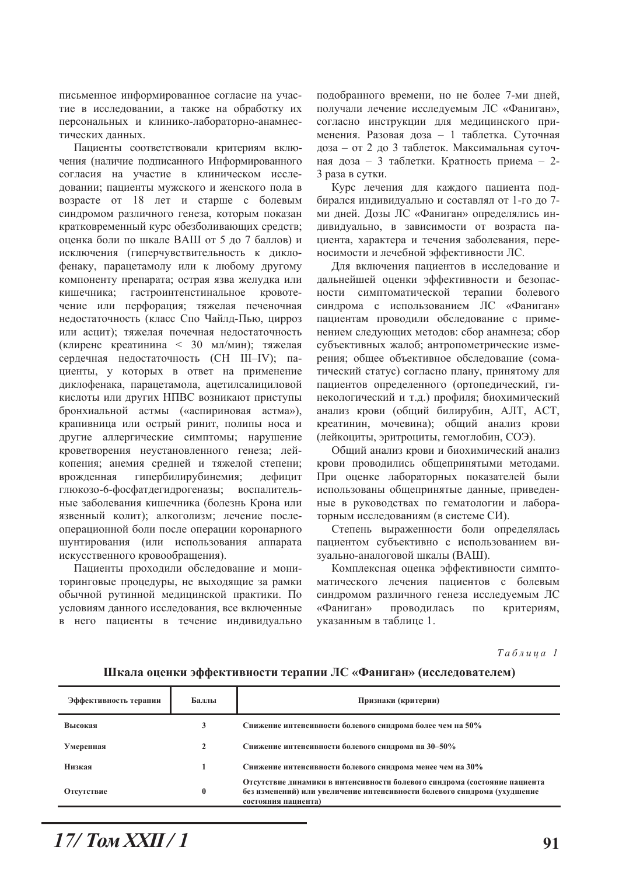письменное информированное согласие на участие в исследовании, а также на обработку их персональных и клинико-лабораторно-анамнестических ланных.

Пациенты соответствовали критериям включения (наличие подписанного Информированного согласия на участие в клиническом исследовании; пациенты мужского и женского пола в возрасте от 18 лет и старше с болевым синдромом различного генеза, которым показан кратковременный курс обезболивающих средств; оценка боли по шкале ВАШ от 5 до 7 баллов) и исключения (гиперчувствительность к диклофенаку, парацетамолу или к любому другому компоненту препарата; острая язва желудка или кишечника; гастроинтенстинальное кровотечение или перфорация; тяжелая печеночная недостаточность (класс Спо Чайлд-Пью, цирроз или асцит); тяжелая почечная недостаточность (клиренс креатинина < 30 мл/мин); тяжелая сердечная недостаточность (СН III-IV); пациенты, у которых в ответ на применение диклофенака, парацетамола, ацетилсалициловой кислоты или других НПВС возникают приступы бронхиальной астмы («аспириновая астма»), крапивница или острый ринит, полипы носа и другие аллергические симптомы; нарушение кроветворения неустановленного генеза; лейкопения: анемия средней и тяжелой степени: врожденная гипербилирубинемия; дефицит глюкозо-6-фосфатдегидрогеназы; воспалительные заболевания кишечника (болезнь Крона или язвенный колит); алкоголизм; лечение послеоперационной боли после операции коронарного шунтирования (или использования аппарата искусственного кровообращения).

Пациенты проходили обследование и мониторинговые процедуры, не выходящие за рамки обычной рутинной медицинской практики. По условиям данного исследования, все включенные в него пациенты в течение индивидуально

подобранного времени, но не более 7-ми дней, получали лечение исследуемым ЛС «Фаниган», согласно инструкции для медицинского применения. Разовая доза - 1 таблетка. Суточная доза - от 2 до 3 таблеток. Максимальная суточная доза – 3 таблетки. Кратность приема – 2-3 раза в сутки.

Курс лечения для каждого пациента подбирался индивидуально и составлял от 1-го до 7ми дней. Дозы ЛС «Фаниган» определялись индивидуально, в зависимости от возраста пациента, характера и течения заболевания, переносимости и лечебной эффективности ЛС.

Для включения пациентов в исследование и дальнейшей оценки эффективности и безопасности симптоматической терапии болевого синдрома с использованием ЛС «Фаниган» пациентам проводили обследование с применением следующих методов: сбор анамнеза; сбор субъективных жалоб; антропометрические измерения; общее объективное обследование (соматический статус) согласно плану, принятому для пациентов определенного (ортопедический, гинекологический и т.д.) профиля; биохимический анализ крови (общий билирубин, АЛТ, АСТ, креатинин, мочевина); общий анализ крови (лейкоциты, эритроциты, гемоглобин, СОЭ).

Общий анализ крови и биохимический анализ крови проводились общепринятыми методами. При оценке лабораторных показателей были использованы общепринятые данные, приведенные в руководствах по гематологии и лабораторным исследованиям (в системе СИ).

Степень выраженности боли определялась пациентом субъективно с использованием визуально-аналоговой шкалы (ВАШ).

Комплексная оценка эффективности симптоматического лечения пациентов с болевым синдромом различного генеза исследуемым ЛС «Фаниган» проводилась по критериям, указанным в таблице 1.

 $Ta6$ лица 1

Шкала оценки эффективности терапии ЛС «Фаниган» (исследователем)

| Эффективность терапии | Баллы    | Признаки (критерии)                                                                                                                                                          |  |  |  |
|-----------------------|----------|------------------------------------------------------------------------------------------------------------------------------------------------------------------------------|--|--|--|
| Высокая               | 3        | Снижение интенсивности болевого синдрома более чем на 50%                                                                                                                    |  |  |  |
| Умеренная             |          | Снижение интенсивности болевого синдрома на 30-50%                                                                                                                           |  |  |  |
| Низкая                |          | Снижение интенсивности болевого синдрома менее чем на 30%                                                                                                                    |  |  |  |
| Отсутствие            | $\bf{0}$ | Отсутствие динамики в интенсивности болевого синдрома (состояние пациента<br>без изменений) или увеличение интенсивности болевого синдрома (ухудшение<br>состояния пациента) |  |  |  |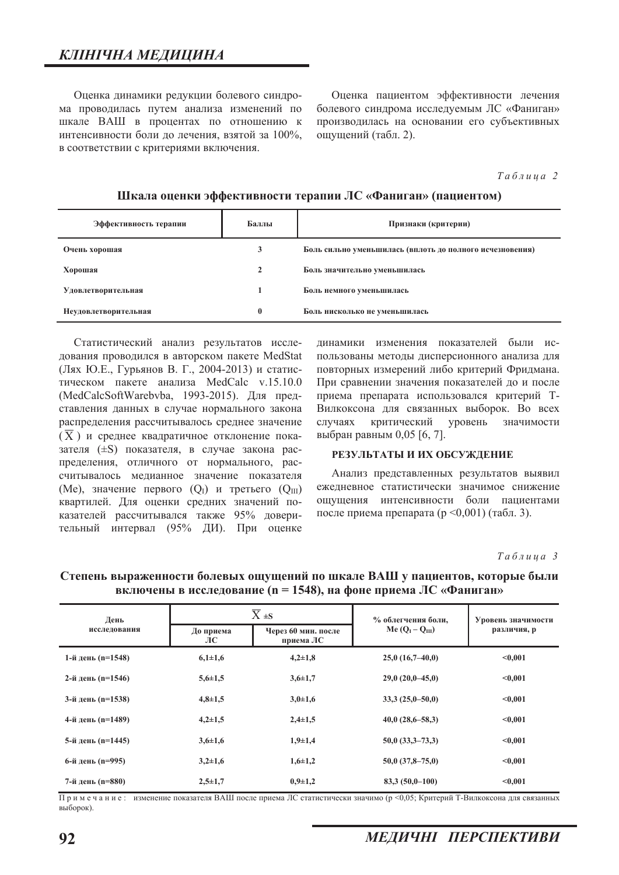Оценка динамики редукции болевого синдрома проводилась путем анализа изменений по шкале ВАШ в процентах по отношению к интенсивности боли до лечения, взятой за 100%, в соответствии с критериями включения.

Оценка пациентом эффективности лечения болевого синдрома исследуемым ЛС «Фаниган» производилась на основании его субъективных ощущений (табл. 2).

#### $Ta6\n$ <sub>µ</sub>\n<i>ua</i> 2\n</sub>

## Шкала оценки эффективности терапии ЛС «Фаниган» (пациентом)

| Эффективность терапии     | Баллы | Признаки (критерии)                                      |  |  |
|---------------------------|-------|----------------------------------------------------------|--|--|
| Очень хорошая             |       | Боль сильно уменьшилась (вплоть до полного исчезновения) |  |  |
| Хорошая                   |       | Боль значительно уменьшилась                             |  |  |
| <b>Удовлетворительная</b> |       | Боль немного уменьшилась                                 |  |  |
| Неудовлетворительная      | 0     | Боль нисколько не уменьшилась                            |  |  |

Статистический анализ результатов исследования проводился в авторском пакете MedStat (Лях Ю.Е., Гурьянов В. Г., 2004-2013) и статистическом пакете анализа MedCalc v.15.10.0 (MedCalcSoftWarebvba, 1993-2015). Для представления данных в случае нормального закона распределения рассчитывалось среднее значение  $(\overline{X})$  и среднее квадратичное отклонение показателя (±S) показателя, в случае закона распределения, отличного от нормального, рассчитывалось медианное значение показателя  $(Me)$ , значение первого  $(Q_I)$  и третьего  $(Q_{III})$ квартилей. Для оценки средних значений показателей рассчитывался также 95% доверительный интервал (95% ДИ). При оценке

динамики изменения показателей были использованы методы дисперсионного анализа для повторных измерений либо критерий Фридмана. При сравнении значения показателей до и после приема препарата использовался критерий Т-Вилкоксона для связанных выборок. Во всех случаях критический уровень значимости выбран равным 0,05 [6, 7].

#### РЕЗУЛЬТАТЫ И ИХ ОБСУЖДЕНИЕ

Анализ представленных результатов выявил ежелневное статистически значимое снижение ошушения интенсивности боли папиентами после приема препарата (р <0,001) (табл. 3).

 $Ta6\n$ <sub>µ</sub>\n<i>ua</i> 3\n</sub>

| День<br>исследования |                 | $\overline{X}$ ± S               | % облегчения боли,   | Уровень значимости<br>различия, р |  |
|----------------------|-----------------|----------------------------------|----------------------|-----------------------------------|--|
|                      | До приема<br>ЛС | Через 60 мин. после<br>приема ЛС | Me $(QI - QIII)$     |                                   |  |
| 1-й день (n=1548)    | $6,1{\pm}1,6$   | $4,2 \pm 1,8$                    | $25,0(16,7-40,0)$    | < 0.001                           |  |
| 2-й день (n=1546)    | $5,6{\pm}1,5$   | $3,6{\pm}1,7$                    | $29,0(20,0-45,0)$    | < 0.001                           |  |
| 3-й день (n=1538)    | $4,8 \pm 1,5$   | $3,0+1,6$                        | $33,3(25,0-50,0)$    | < 0.001                           |  |
| 4-й день (n=1489)    | $4,2\pm 1,5$    | $2,4\pm 1,5$                     | $40,0(28,6-58,3)$    | < 0.001                           |  |
| 5-й день (n=1445)    | $3,6{\pm}1,6$   | $1,9+1,4$                        | $50,0$ $(33,3-73,3)$ | < 0.001                           |  |
| 6-й день (n=995)     | $3,2+1,6$       | $1,6+1,2$                        | $50,0$ $(37,8-75,0)$ | < 0.001                           |  |
| 7-й день (n=880)     | $2,5+1,7$       | $0,9{\pm}1,2$                    | $83.3(50.0-100)$     | < 0.001                           |  |

## Степень выраженности болевых ощущений по шкале ВАШ у пациентов, которые были включены в исследование (n = 1548), на фоне приема ЛС «Фаниган»

Примечание: изменение показателя ВАШ после приема ЛС статистически значимо (р <0,05; Критерий Т-Вилкоксона для связанных выборок).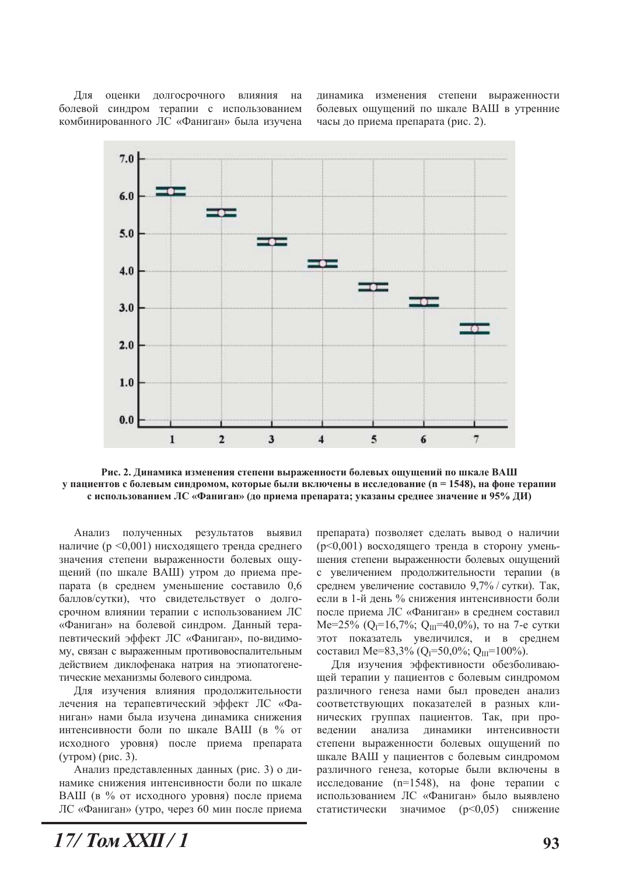Для оценки долгосрочного влияния на болевой синдром терапии с использованием комбинированного ЛС «Фаниган» была изучена динамика изменения степени выраженности болевых ощущений по шкале ВАШ в утренние часы до приема препарата (рис. 2).



Рис. 2. Динамика изменения степени выраженности болевых ощущений по шкале ВАШ у пациентов с болевым синдромом, которые были включены в исследование (n = 1548), на фоне терапии с использованием ЛС «Фаниган» (до приема препарата; указаны среднее значение и 95% ДИ)

Анализ полученных результатов выявил наличие (р <0,001) нисходящего тренда среднего значения степени выраженности болевых ощущений (по шкале ВАШ) утром до приема препарата (в среднем уменьшение составило 0,6 баллов/сутки), что свидетельствует о долгосрочном влиянии терапии с использованием ЛС «Фаниган» на болевой синдром. Данный терапевтический эффект ЛС «Фаниган», по-видимому, связан с выраженным противовоспалительным действием диклофенака натрия на этиопатогенетические механизмы болевого синдрома.

Для изучения влияния продолжительности лечения на терапевтический эффект ЛС «Фаниган» нами была изучена динамика снижения интенсивности боли по шкале ВАШ (в % от исходного уровня) после приема препарата  $(*YT*pon)$  $(*pnc. 3*).$ 

Анализ представленных данных (рис. 3) о динамике снижения интенсивности боли по шкале ВАШ (в % от исходного уровня) после приема ЛС «Фаниган» (утро, через 60 мин после приема

препарата) позволяет сделать вывод о наличии (р<0,001) восходящего тренда в сторону уменьшения степени выраженности болевых ощущений с увеличением продолжительности терапии (в среднем увеличение составило 9,7% / сутки). Так, если в 1-й день % снижения интенсивности боли после приема ЛС «Фаниган» в среднем составил  $Me=25\%$  (Q<sub>I</sub>=16,7%; Q<sub>III</sub>=40,0%), то на 7-е сутки этот показатель увеличился, и в среднем составил Ме=83,3% (Q<sub>I</sub>=50,0%; Q<sub>III</sub>=100%).

Для изучения эффективности обезболивающей терапии у пациентов с болевым синдромом различного генеза нами был проведен анализ соответствующих показателей в разных клинических группах пациентов. Так, при проведении анализа динамики интенсивности степени выраженности болевых ощущений по шкале ВАШ у пациентов с болевым синдромом различного генеза, которые были включены в исследование (n=1548), на фоне терапии с использованием ЛС «Фаниган» было выявлено статистически значимое (p<0,05) снижение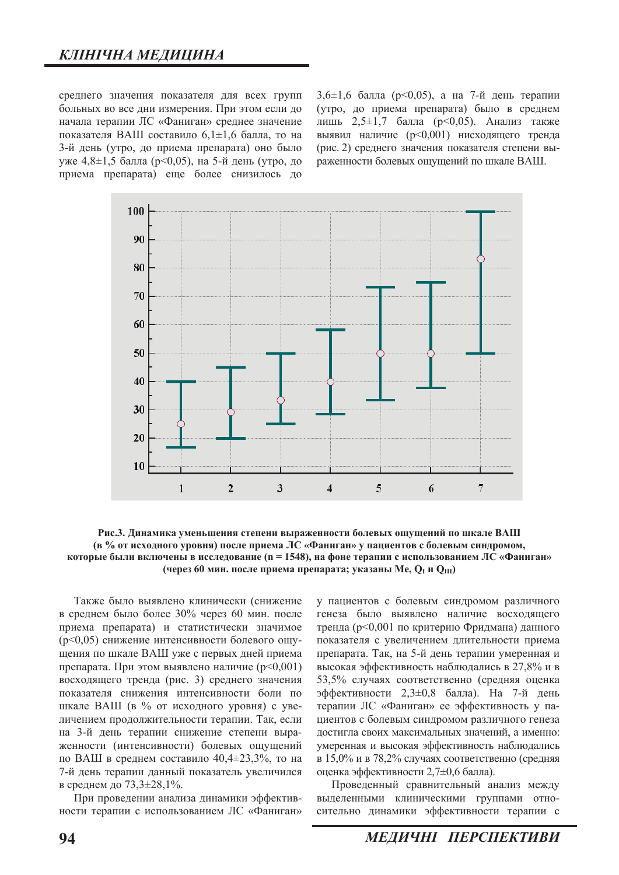среднего значения показателя для всех групп больных во все дни измерения. При этом если до начала терапии ЛС «Фаниган» среднее значение показателя ВАШ составило  $6,1\pm1,6$  балла, то на 3-й день (утро, до приема препарата) оно было уже 4,8 $\pm$ 1,5 балла (р<0,05), на 5-й день (утро, до приема препарата) еще более снизилось до

3,6 $\pm$ 1,6 балла (р<0,05), а на 7-й день терапии (утро, до приема препарата) было в среднем лишь 2,5 $\pm$ 1,7 балла (р<0,05). Анализ также выявил наличие (p<0,001) нисходящего тренда (рис. 2) среднего значения показателя степени выраженности болевых ошушений по шкале ВАШ.



Рис.3. Динамика уменьшения степени выраженности болевых ощущений по шкале ВАШ **(в % от исходного уровня) после приема ЛС «Фаниган» у пациентов с болевым синдромом,** которые были включены в исслелование (n = 1548), на фоне терапии с использованием ЛС «Фаниган» (через 60 мин. после приема препарата; указаны Ме, Q<sub>I</sub> и Q<sub>III</sub>)

Также было выявлено клинически (снижение в среднем было более 30% через 60 мин. после приема препарата) и статистически значимое (р<0,05) снижение интенсивности болевого ощущения по шкале ВАШ уже с первых дней приема препарата. При этом выявлено наличие  $(p<0.001)$ восходящего тренда (рис. 3) среднего значения показателя снижения интенсивности боли по шкале ВАШ (в % от исходного уровня) с увеличением продолжительности терапии. Так, если на 3-й день терапии снижение степени выраженности (интенсивности) болевых ошушений по ВАШ в среднем составило  $40.4\pm 23.3\%$ , то на 7-й день терапии данный показатель увеличился в среднем до 73,3±28,1%.

При проведении анализа динамики эффективности терапии с использованием ЛС «Фаниган» у пациентов с болевым синдромом различного генеза было выявлено наличие восходящего тренда (р<0,001 по критерию Фридмана) данного показателя с увеличением длительности приема препарата. Так, на 5-й день терапии умеренная и высокая эффективность наблюдались в 27,8% и в 53,5% случаях соответственно (средняя оценка эффективности 2,3±0,8 балла). На 7-й день терапии ЛС «Фаниган» ее эффективность у пациентов с болевым синдромом различного генеза достигла своих максимальных значений, а именно: умеренная и высокая эффективность наблюдались в 15,0% и в 78,2% случаях соответственно (средняя оценка эффективности 2,7±0,6 балла).

Проведенный сравнительный анализ между выделенными клиническими группами относительно динамики эффективности терапии с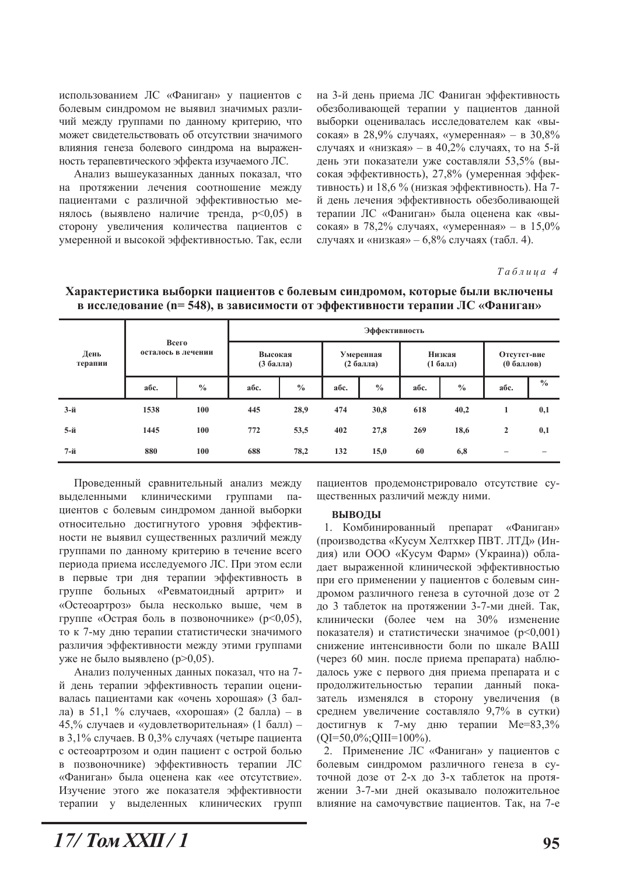использованием ЛС «Фаниган» у пациентов с болевым синдромом не выявил значимых различий между группами по данному критерию, что может свидетельствовать об отсутствии значимого влияния генеза болевого синдрома на выраженность терапевтического эффекта изучаемого ЛС.

Анализ вышеуказанных данных показал, что на протяжении лечения соотношение между пациентами с различной эффективностью менялось (выявлено наличие тренда,  $p<0,05$ ) в сторону увеличения количества пациентов с умеренной и высокой эффективностью. Так, если

на 3-й день приема ЛС Фаниган эффективность обезболивающей терапии у пациентов данной выборки оценивалась исследователем как «высокая» в 28,9% случаях, «умеренная» - в 30,8% случаях и «низкая» - в 40,2% случаях, то на 5-й день эти показатели уже составляли 53,5% (высокая эффективность), 27,8% (умеренная эффективность) и 18,6 % (низкая эффективность). На 7й день лечения эффективность обезболивающей терапии ЛС «Фаниган» была оценена как «высокая» в 78,2% случаях, «умеренная» – в 15,0% случаях и «низкая» - 6,8% случаях (табл. 4).

 $Ta6$ лииа 4

| День<br>терапии | Всего<br>осталось в лечении |               | Эффективность        |               |                           |               |                       |               |                           |               |
|-----------------|-----------------------------|---------------|----------------------|---------------|---------------------------|---------------|-----------------------|---------------|---------------------------|---------------|
|                 |                             |               | Высокая<br>(3 балла) |               | Умеренная<br>$(2.6a$ лла) |               | Низкая<br>$(1 6a$ лл) |               | Отсутст-вие<br>(0 баллов) |               |
|                 | абс.                        | $\frac{0}{0}$ | абс.                 | $\frac{0}{0}$ | абс.                      | $\frac{0}{0}$ | абс.                  | $\frac{0}{0}$ | абс.                      | $\frac{0}{0}$ |
| $3-й$           | 1538                        | 100           | 445                  | 28,9          | 474                       | 30,8          | 618                   | 40,2          | 1                         | 0,1           |
| 5-й             | 1445                        | 100           | 772                  | 53,5          | 402                       | 27,8          | 269                   | 18,6          | $\overline{2}$            | 0,1           |
| $7-$ й          | 880                         | 100           | 688                  | 78,2          | 132                       | 15,0          | 60                    | 6,8           | $\overline{\phantom{0}}$  | -             |

**Характеристика выборки пациентов с болевым синдромом, которые были включены в исследование (n= 548), в зависимости от эффективности терапии ЛС «Фаниган»** 

Проведенный сравнительный анализ между выделенными клиническими группами пациентов с болевым синдромом данной выборки относительно достигнутого уровня эффективности не выявил существенных различий между группами по данному критерию в течение всего периода приема исследуемого ЛС. При этом если в первые три дня терапии эффективность в группе больных «Ревматоидный артрит» и «Остеоартроз» была несколько выше, чем в группе «Острая боль в позвоночнике» (p<0,05), то к 7-му дню терапии статистически значимого различия эффективности между этими группами уже не было выявлено (р>0,05).

Анализ полученных данных показал, что на 7й день терапии эффективность терапии оценивалась пациентами как «очень хорошая» (3 балла) в 51,1 % случаев, «хорошая» (2 балла) – в 45,% случаев и «удовлетворительная» (1 балл) в 3,1% случаев. В 0,3% случаях (четыре пациента с остеоартрозом и один пациент с острой болью в позвоночнике) эффективность терапии ЛС «Фаниган» была оценена как «ее отсутствие». Изучение этого же показателя эффективности терапии у выделенных клинических групп

пациентов продемонстрировало отсутствие сушественных различий между ними.

### **ВЫВОДЫ**

1. Комбинированный препарат «Фаниган» (производства «Кусум Хелтхкер ПВТ. ЛТД» (Индия) или ООО «Кусум Фарм» (Украина)) обладает выраженной клинической эффективностью при его применении у пациентов с болевым синдромом различного генеза в суточной дозе от 2 до 3 таблеток на протяжении 3-7-ми дней. Так, клинически (более чем на 30% изменение показателя) и статистически значимое ( $p<0.001$ ) снижение интенсивности боли по шкале ВАШ (через 60 мин. после приема препарата) наблюдалось уже с первого дня приема препарата и с продолжительностью терапии данный показатель изменялся в сторону увеличения (в среднем увеличение составляло 9,7% в сутки) достигнув к 7-му дню терапии Ме=83,3%  $(QI=50,0\%;QIII=100\%).$ 

2. Применение ЛС «Фаниган» у пациентов с болевым синдромом различного генеза в суточной дозе от 2-х до 3-х таблеток на протяжении 3-7-ми дней оказывало положительное влияние на самочувствие пациентов. Так, на 7-е